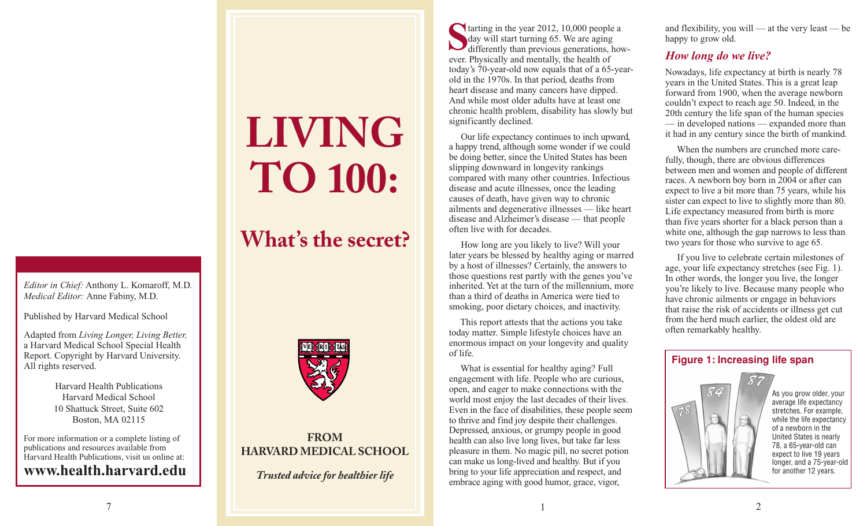#### *Editor in Chief:* Anthony L. Komaroff, M.D. *Medical Editor:* Anne Fabiny, M.D.

Published by Harvard Medical School

Adapted from *Living Longer, Living Better,* a Harvard Medical School Special Health Report. Copyright by Harvard University. All rights reserved.

> Harvard Health Publications Harvard Medical School 10 Shattuck Street, Suite 602 Boston, MA 02115

For more information or a complete listing of publications and resources available from Harvard Health Publications, visit us online at: **www.health.harvard.edu**

# **LIVING TO 100:**

# **What' s the secret?**



# **FROM HARVARD MEDICAL SCHOOL**

*Trusted advice for healthier life*

tarting in the year 2012, 10,000 people a day will start turning 65. We are aging day will start turning 65. We are aging<br>differently than previous generations, however. Physically and mentally, the health of today's 70-year-old now equals that of a 65-yearold in the 1970s. In that period, deaths from heart disease and many cancers have dipped. And while most older adults have at least one chronic health problem, disability has slowly but significantly declined.

Our life expectancy continues to inch upward, a happy trend, although some wonder if we could be doing better, since the United States has been slipping downward in longevity rankings compared with many other countries. Infectious disease and acute illnesses, once the leading causes of death, have given way to chronic ailments and degenerative illnesses — like heart disease and Alzheimer's disease — that people often live with for decades.

How long are you likely to live? Will your later years be blessed by healthy aging or marred by a host of illnesses? Certainly, the answers to those questions rest partly with the genes you've inherited. Yet at the turn of the millennium, more than a third of deaths in America were tied to smoking, poor dietary choices, and inactivity.

This report attests that the actions you take today matter. Simple lifestyle choices have an enormous impact on your longevity and quality of life.

What is essential for healthy aging? Full engagement with life. People who are curious, open, and eager to make connections with the world most enjoy the last decades of their lives. Even in the face of disabilities, these people seem to thrive and find joy despite their challenges. Depressed, anxious, or grumpy people in good health can also live long lives, but take far less pleasure in them. No magic pill, no secret potion can make us long-lived and healthy. But if you bring to your life appreciation and respect, and embrace aging with good humor, grace, vigor,

and flexibility, you will — at the very least — be happy to grow old.

# *How long do we live?*

Nowadays, life expectancy at birth is nearly 78 years in the United States. This is a great leap forward from 1900, when the average newborn couldn't expect to reach age 50. Indeed, in the 20th century the life span of the human species — in developed nations — expanded more than it had in any century since the birth of mankind.

When the numbers are crunched more carefully, though, there are obvious differences between men and women and people of different races. A newborn boy born in 2004 or after can expect to live a bit more than 75 years, while his sister can expect to live to slightly more than 80. Life expectancy measured from birth is more than five years shorter for a black person than a white one, although the gap narrows to less than two years for those who survive to age 65.

If you live to celebrate certain milestones of age, your life expectancy stretches (see Fig. 1). In other words, the longer you live, the longer you're likely to live. Because many people who have chronic ailments or engage in behaviors that raise the risk of accidents or illness get cut from the herd much earlier, the oldest old are often remarkably healthy.

#### **Figure 1: Increasing life span**



As you grow older, your average life expectancy stretches. For example, while the life expectancy of a newborn in the United States is nearly 78, a 65-year-old can expect to live 19 years longer, and a 75-year-old for another 12 years.